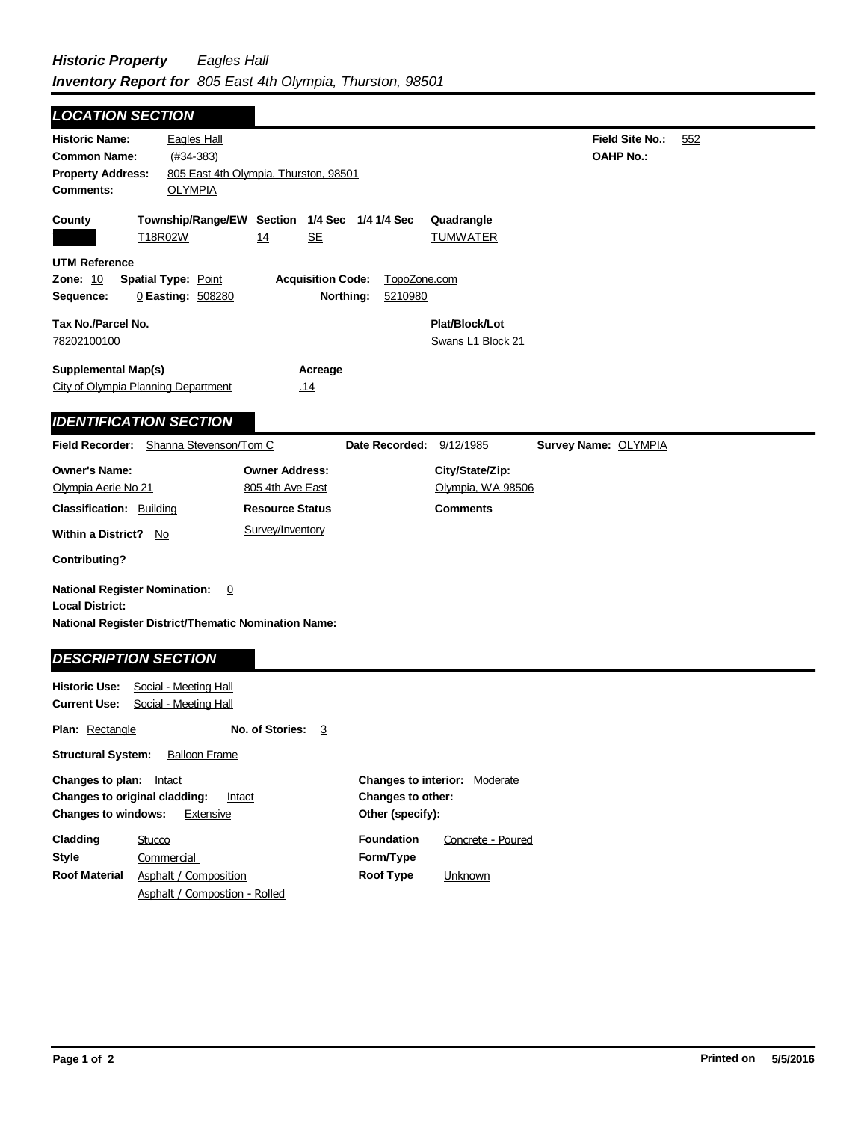ä,

| <b>LOCATION SECTION</b>                                                                                                       |                                                     |                                                                                         |                                      |                                                         |                                            |     |
|-------------------------------------------------------------------------------------------------------------------------------|-----------------------------------------------------|-----------------------------------------------------------------------------------------|--------------------------------------|---------------------------------------------------------|--------------------------------------------|-----|
| <b>Historic Name:</b><br><b>Common Name:</b><br><b>Property Address:</b><br><b>Comments:</b>                                  | <b>Eagles Hall</b><br>$(H34-383)$<br><b>OLYMPIA</b> | 805 East 4th Olympia, Thurston, 98501                                                   |                                      |                                                         | <b>Field Site No.:</b><br><b>OAHP No.:</b> | 552 |
| County<br>T18R02W                                                                                                             |                                                     | Township/Range/EW Section 1/4 Sec 1/4 1/4 Sec<br><b>SE</b><br>14                        |                                      | Quadrangle<br><b>TUMWATER</b>                           |                                            |     |
| <b>UTM Reference</b><br>Zone: 10<br>Sequence:                                                                                 | <b>Spatial Type: Point</b><br>0 Easting: 508280     | <b>Acquisition Code:</b>                                                                | TopoZone.com<br>Northing:<br>5210980 |                                                         |                                            |     |
| Tax No./Parcel No.<br>78202100100                                                                                             |                                                     |                                                                                         |                                      | Plat/Block/Lot<br>Swans L1 Block 21                     |                                            |     |
| <b>Supplemental Map(s)</b><br>City of Olympia Planning Department                                                             |                                                     | Acreage<br>.14                                                                          |                                      |                                                         |                                            |     |
| <b>IDENTIFICATION SECTION</b>                                                                                                 |                                                     |                                                                                         |                                      |                                                         |                                            |     |
| Field Recorder: Shanna Stevenson/Tom C                                                                                        |                                                     |                                                                                         | Date Recorded: 9/12/1985             |                                                         | Survey Name: OLYMPIA                       |     |
| <b>Owner's Name:</b><br>Olympia Aerie No 21<br><b>Classification: Building</b><br>Within a District? No                       |                                                     | <b>Owner Address:</b><br>805 4th Ave East<br><b>Resource Status</b><br>Survey/Inventory |                                      | City/State/Zip:<br>Olympia, WA 98506<br><b>Comments</b> |                                            |     |
| <b>Contributing?</b>                                                                                                          |                                                     |                                                                                         |                                      |                                                         |                                            |     |
| <b>National Register Nomination:</b><br><b>Local District:</b><br><b>National Register District/Thematic Nomination Name:</b> | $\overline{0}$                                      |                                                                                         |                                      |                                                         |                                            |     |
| <b>DESCRIPTION SECTION</b>                                                                                                    |                                                     |                                                                                         |                                      |                                                         |                                            |     |
| <b>Historic Use:</b><br><b>Current Use:</b>                                                                                   | Social - Meeting Hall<br>Social - Meeting Hall      |                                                                                         |                                      |                                                         |                                            |     |
| <b>Plan: Rectangle</b>                                                                                                        |                                                     | No. of Stories: 3                                                                       |                                      |                                                         |                                            |     |
| <b>Structural System:</b>                                                                                                     | <b>Balloon Frame</b>                                |                                                                                         |                                      |                                                         |                                            |     |
| Changes to plan: Intact<br>Changes to original cladding:                                                                      | Intact                                              |                                                                                         | Changes to other:                    | Changes to interior: Moderate                           |                                            |     |

| <b>Changes to windows:</b><br>Extensive |                               |                   | Other (specify):  |  |  |
|-----------------------------------------|-------------------------------|-------------------|-------------------|--|--|
| Cladding                                | Stucco                        | <b>Foundation</b> | Concrete - Poured |  |  |
| Style                                   | Commercial                    | Form/Type         |                   |  |  |
| <b>Roof Material</b>                    | Asphalt / Composition         | Roof Type         | Unknown           |  |  |
|                                         | Asphalt / Compostion - Rolled |                   |                   |  |  |